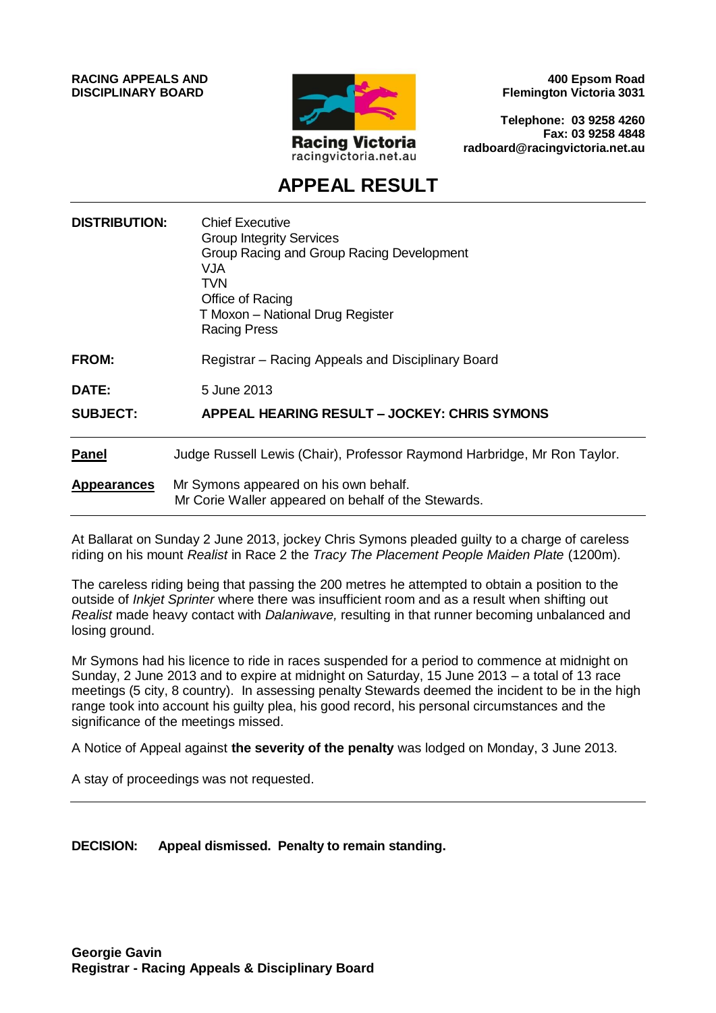**RACING APPEALS AND DISCIPLINARY BOARD**



**400 Epsom Road Flemington Victoria 3031**

**Telephone: 03 9258 4260 Fax: 03 9258 4848 radboard@racingvictoria.net.au**

## **APPEAL RESULT**

| <b>DISTRIBUTION:</b> | <b>Chief Executive</b><br><b>Group Integrity Services</b><br>Group Racing and Group Racing Development<br>VJA<br><b>TVN</b><br>Office of Racing<br>T Moxon - National Drug Register<br><b>Racing Press</b> |
|----------------------|------------------------------------------------------------------------------------------------------------------------------------------------------------------------------------------------------------|
| <b>FROM:</b>         | Registrar - Racing Appeals and Disciplinary Board                                                                                                                                                          |
| DATE:                | 5 June 2013                                                                                                                                                                                                |
| <b>SUBJECT:</b>      | APPEAL HEARING RESULT - JOCKEY: CHRIS SYMONS                                                                                                                                                               |
| <b>Panel</b>         | Judge Russell Lewis (Chair), Professor Raymond Harbridge, Mr Ron Taylor.                                                                                                                                   |
| <b>Appearances</b>   | Mr Symons appeared on his own behalf.<br>Mr Corie Waller appeared on behalf of the Stewards.                                                                                                               |

At Ballarat on Sunday 2 June 2013, jockey Chris Symons pleaded guilty to a charge of careless riding on his mount *Realist* in Race 2 the *Tracy The Placement People Maiden Plate* (1200m).

The careless riding being that passing the 200 metres he attempted to obtain a position to the outside of *Inkjet Sprinter* where there was insufficient room and as a result when shifting out *Realist* made heavy contact with *Dalaniwave,* resulting in that runner becoming unbalanced and losing ground.

Mr Symons had his licence to ride in races suspended for a period to commence at midnight on Sunday, 2 June 2013 and to expire at midnight on Saturday, 15 June 2013 – a total of 13 race meetings (5 city, 8 country). In assessing penalty Stewards deemed the incident to be in the high range took into account his guilty plea, his good record, his personal circumstances and the significance of the meetings missed.

A Notice of Appeal against **the severity of the penalty** was lodged on Monday, 3 June 2013.

A stay of proceedings was not requested.

**DECISION: Appeal dismissed. Penalty to remain standing.**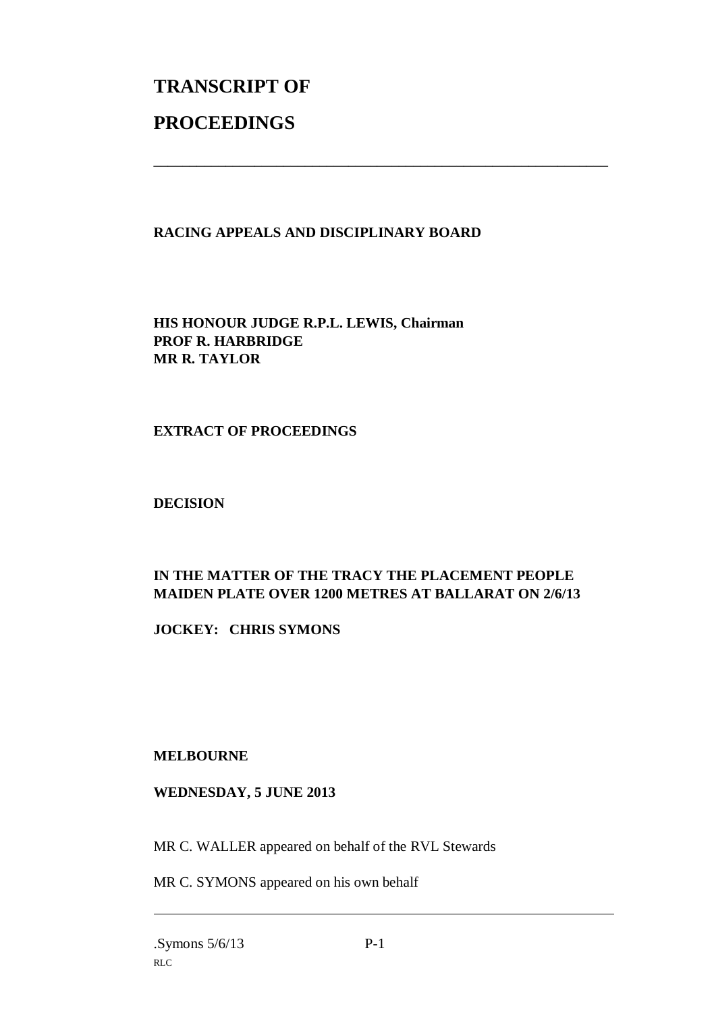# **TRANSCRIPT OF PROCEEDINGS**

#### **RACING APPEALS AND DISCIPLINARY BOARD**

\_\_\_\_\_\_\_\_\_\_\_\_\_\_\_\_\_\_\_\_\_\_\_\_\_\_\_\_\_\_\_\_\_\_\_\_\_\_\_\_\_\_\_\_\_\_\_\_\_\_\_\_\_\_\_\_\_\_\_\_\_\_\_

**HIS HONOUR JUDGE R.P.L. LEWIS, Chairman PROF R. HARBRIDGE MR R. TAYLOR**

#### **EXTRACT OF PROCEEDINGS**

**DECISION**

### **IN THE MATTER OF THE TRACY THE PLACEMENT PEOPLE MAIDEN PLATE OVER 1200 METRES AT BALLARAT ON 2/6/13**

**JOCKEY: CHRIS SYMONS**

**MELBOURNE**

#### **WEDNESDAY, 5 JUNE 2013**

MR C. WALLER appeared on behalf of the RVL Stewards

MR C. SYMONS appeared on his own behalf